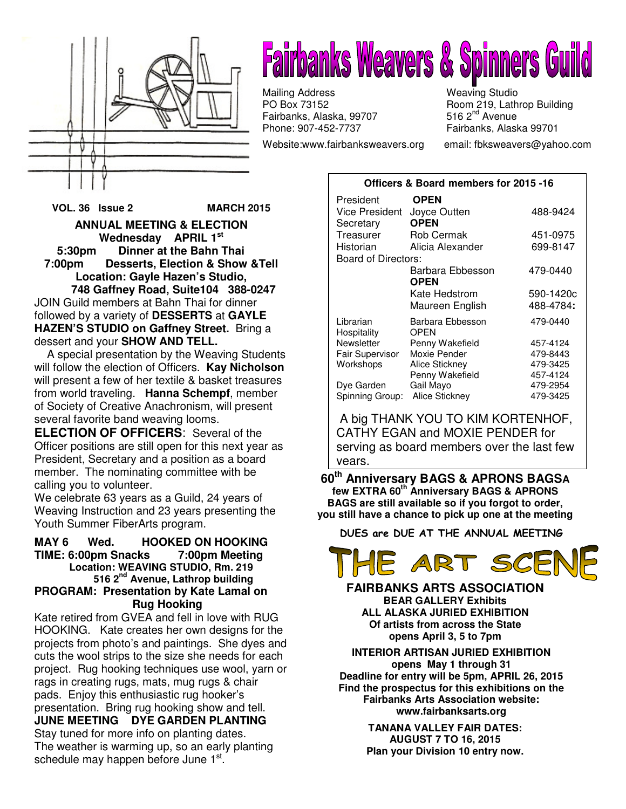

# **Fairbanks Weavers & Spinners Gord Straight Straight Straight Straight Straight Straight Straight Str**

Mailing Address Weaving Studio<br>
PO Box 73152 Moom 219, Lath Fairbanks, Alaska, 99707 Phone: 907-452-7737 Fairbanks, Alaska 99701

Website:www.fairbanksweavers.org email: fbksweavers@yahoo.com

Room 219, Lathrop Building<br>516 2<sup>nd</sup> Avenue

**Officers & Board members for 2015 -16**

**VOL. 36 Issue 2 MARCH 2015** 

**ANNUAL MEETING & ELECTION Wednesday APRIL 1st 5:30pm Dinner at the Bahn Thai Desserts, Election & Show &Tell Location: Gayle Hazen's Studio,** 

 **748 Gaffney Road, Suite104 388-0247**  JOIN Guild members at Bahn Thai for dinner followed by a variety of **DESSERTS** at **GAYLE HAZEN'S STUDIO on Gaffney Street.** Bring a dessert and your **SHOW AND TELL.**

 A special presentation by the Weaving Students will follow the election of Officers. **Kay Nicholson** will present a few of her textile & basket treasures from world traveling. **Hanna Schempf**, member of Society of Creative Anachronism, will present several favorite band weaving looms.

**ELECTION OF OFFICERS**: Several of the Officer positions are still open for this next year as President, Secretary and a position as a board member. The nominating committee with be calling you to volunteer.

We celebrate 63 years as a Guild, 24 years of Weaving Instruction and 23 years presenting the Youth Summer FiberArts program.

#### **MAY 6 Wed. HOOKED ON HOOKING TIME: 6:00pm Snacks 7:00pm Meeting Location: WEAVING STUDIO, Rm. 219 516 2nd Avenue, Lathrop building PROGRAM: Presentation by Kate Lamal on Rug Hooking**

Kate retired from GVEA and fell in love with RUG HOOKING. Kate creates her own designs for the projects from photo's and paintings. She dyes and cuts the wool strips to the size she needs for each project. Rug hooking techniques use wool, yarn or rags in creating rugs, mats, mug rugs & chair pads. Enjoy this enthusiastic rug hooker's presentation. Bring rug hooking show and tell. **JUNE MEETING DYE GARDEN PLANTING**  Stay tuned for more info on planting dates. The weather is warming up, so an early planting schedule may happen before June 1st.

| President                   | <b>OPEN</b>                 |           |
|-----------------------------|-----------------------------|-----------|
| Vice President<br>Secretary | Joyce Outten<br><b>OPEN</b> | 488-9424  |
| Treasurer                   | Rob Cermak                  | 451-0975  |
| Historian                   | Alicia Alexander            | 699-8147  |
| Board of Directors:         |                             |           |
|                             | Barbara Ebbesson<br>OPEN    | 479-0440  |
|                             | Kate Hedstrom               | 590-1420c |
|                             | Maureen English             | 488-4784: |
| Librarian<br>Hospitality    | Barbara Ebbesson<br>OPEN    | 479-0440  |
| Newsletter                  | Penny Wakefield             | 457-4124  |
| <b>Fair Supervisor</b>      | Moxie Pender                | 479-8443  |
| Workshops                   | Alice Stickney              | 479-3425  |
|                             | Penny Wakefield             | 457-4124  |
| Dye Garden                  | Gail Mayo                   | 479-2954  |
| Spinning Group:             | Alice Stickney              | 479-3425  |

 A big THANK YOU TO KIM KORTENHOF, CATHY EGAN and MOXIE PENDER for serving as board members over the last few years.

**60th Anniversary BAGS & APRONS BAGS<sup>A</sup> few EXTRA 60th Anniversary BAGS & APRONS BAGS are still available so if you forgot to order, you still have a chance to pick up one at the meeting**

DUES are DUE AT THE ANNUAL MEETING



**FAIRBANKS ARTS ASSOCIATION BEAR GALLERY Exhibits ALL ALASKA JURIED EXHIBITION Of artists from across the State opens April 3, 5 to 7pm** 

**INTERIOR ARTISAN JURIED EXHIBITION opens May 1 through 31 Deadline for entry will be 5pm, APRIL 26, 2015 Find the prospectus for this exhibitions on the Fairbanks Arts Association website: www.fairbanksarts.org** 

> **TANANA VALLEY FAIR DATES: AUGUST 7 TO 16, 2015 Plan your Division 10 entry now.**